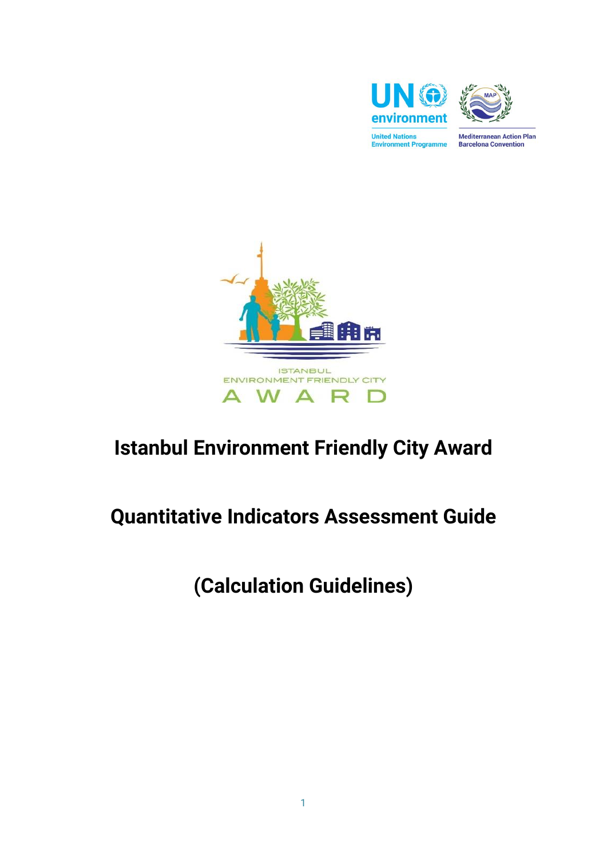



**Mediterranean Action Plan Barcelona Convention** 



# **Istanbul Environment Friendly City Award**

# **Quantitative Indicators Assessment Guide**

**(Calculation Guidelines)**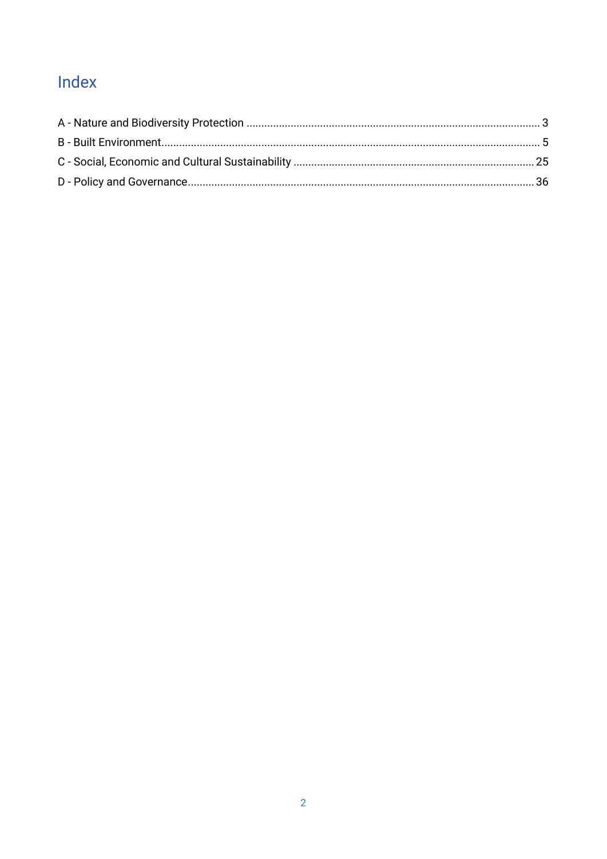# Index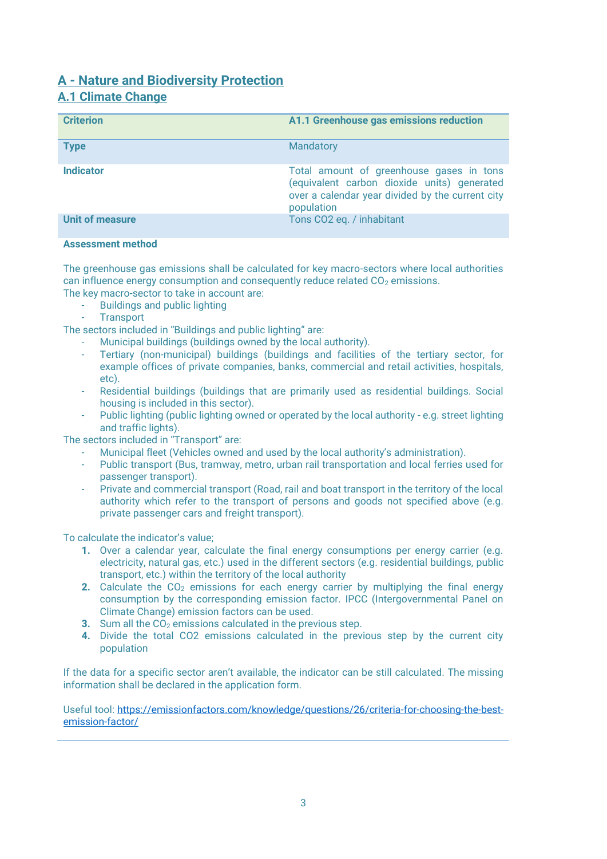# <span id="page-2-0"></span>**A - Nature and Biodiversity Protection A.1 Climate Change**

| <b>Criterion</b>       | A1.1 Greenhouse gas emissions reduction                                                                                                                   |
|------------------------|-----------------------------------------------------------------------------------------------------------------------------------------------------------|
| <b>Type</b>            | Mandatory                                                                                                                                                 |
| <b>Indicator</b>       | Total amount of greenhouse gases in tons<br>(equivalent carbon dioxide units) generated<br>over a calendar year divided by the current city<br>population |
| <b>Unit of measure</b> | Tons CO2 eq. / inhabitant                                                                                                                                 |

#### **Assessment method**

The greenhouse gas emissions shall be calculated for key macro-sectors where local authorities can influence energy consumption and consequently reduce related  $CO<sub>2</sub>$  emissions.

The key macro-sector to take in account are:

- Buildings and public lighting
- **Transport**

The sectors included in "Buildings and public lighting" are:

- Municipal buildings (buildings owned by the local authority).
- Tertiary (non-municipal) buildings (buildings and facilities of the tertiary sector, for example offices of private companies, banks, commercial and retail activities, hospitals, etc).
- Residential buildings (buildings that are primarily used as residential buildings. Social housing is included in this sector).
- Public lighting (public lighting owned or operated by the local authority e.g. street lighting and traffic lights).

The sectors included in "Transport" are:

- Municipal fleet (Vehicles owned and used by the local authority's administration).
- Public transport (Bus, tramway, metro, urban rail transportation and local ferries used for passenger transport).
- Private and commercial transport (Road, rail and boat transport in the territory of the local authority which refer to the transport of persons and goods not specified above (e.g. private passenger cars and freight transport).

To calculate the indicator's value;

- **1.** Over a calendar year, calculate the final energy consumptions per energy carrier (e.g. electricity, natural gas, etc.) used in the different sectors (e.g. residential buildings, public transport, etc.) within the territory of the local authority
- **2.** Calculate the CO<sub>2</sub> emissions for each energy carrier by multiplying the final energy consumption by the corresponding emission factor. IPCC (Intergovernmental Panel on Climate Change) emission factors can be used.
- **3.** Sum all the CO<sub>2</sub> emissions calculated in the previous step.
- **4.** Divide the total CO2 emissions calculated in the previous step by the current city population

If the data for a specific sector aren't available, the indicator can be still calculated. The missing information shall be declared in the application form.

Useful tool: [https://emissionfactors.com/knowledge/questions/26/criteria-for-choosing-the-best](https://emissionfactors.com/knowledge/questions/26/criteria-for-choosing-the-best-emission-factor/)[emission-factor/](https://emissionfactors.com/knowledge/questions/26/criteria-for-choosing-the-best-emission-factor/)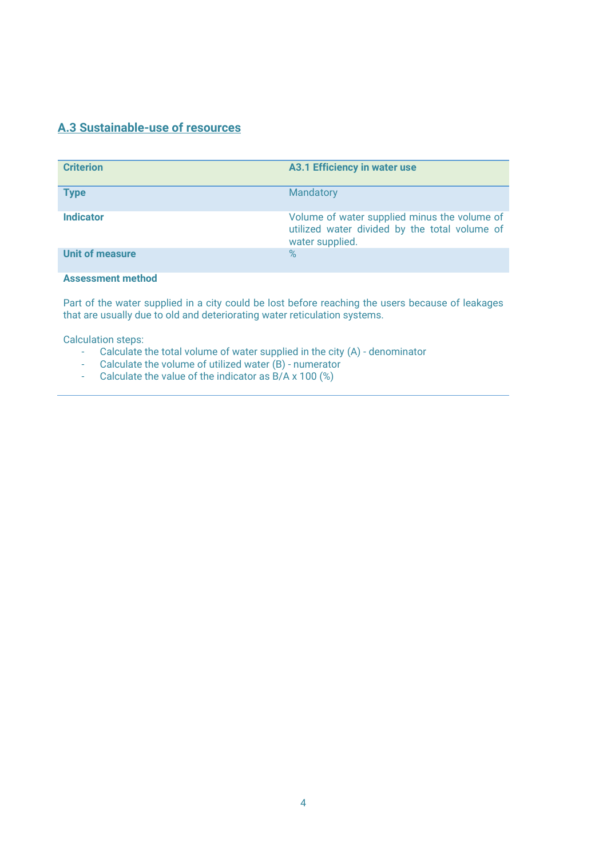# **A.3 Sustainable-use of resources**

| <b>Criterion</b>         | <b>A3.1 Efficiency in water use</b>                                                                              |
|--------------------------|------------------------------------------------------------------------------------------------------------------|
| <b>Type</b>              | Mandatory                                                                                                        |
| <b>Indicator</b>         | Volume of water supplied minus the volume of<br>utilized water divided by the total volume of<br>water supplied. |
| <b>Unit of measure</b>   | $\%$                                                                                                             |
| <b>Assessment method</b> |                                                                                                                  |

Part of the water supplied in a city could be lost before reaching the users because of leakages that are usually due to old and deteriorating water reticulation systems.

- Calculate the total volume of water supplied in the city (A) denominator
- Calculate the volume of utilized water (B) numerator
- Calculate the value of the indicator as  $B/A \times 100$  (%)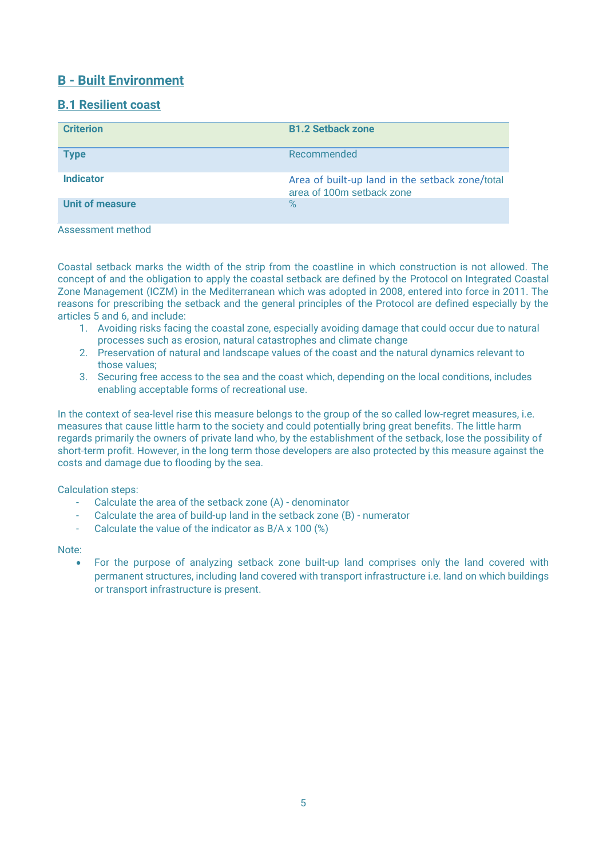# <span id="page-4-0"></span>**B - Built Environment**

# **B.1 Resilient coast**

| <b>Criterion</b>       | <b>B1.2 Setback zone</b>                                                     |
|------------------------|------------------------------------------------------------------------------|
| <b>Type</b>            | Recommended                                                                  |
| <b>Indicator</b>       | Area of built-up land in the setback zone/total<br>area of 100m setback zone |
| <b>Unit of measure</b> | $\%$                                                                         |

Assessment method

Coastal setback marks the width of the strip from the coastline in which construction is not allowed. The concept of and the obligation to apply the coastal setback are defined by the Protocol on Integrated Coastal Zone Management (ICZM) in the Mediterranean which was adopted in 2008, entered into force in 2011. The reasons for prescribing the setback and the general principles of the Protocol are defined especially by the articles 5 and 6, and include:

- 1. Avoiding risks facing the coastal zone, especially avoiding damage that could occur due to natural processes such as erosion, natural catastrophes and climate change
- 2. Preservation of natural and landscape values of the coast and the natural dynamics relevant to those values;
- 3. Securing free access to the sea and the coast which, depending on the local conditions, includes enabling acceptable forms of recreational use.

In the context of sea-level rise this measure belongs to the group of the so called low-regret measures, i.e. measures that cause little harm to the society and could potentially bring great benefits. The little harm regards primarily the owners of private land who, by the establishment of the setback, lose the possibility of short-term profit. However, in the long term those developers are also protected by this measure against the costs and damage due to flooding by the sea.

Calculation steps:

- Calculate the area of the setback zone (A) denominator
- Calculate the area of build-up land in the setback zone (B) numerator
- Calculate the value of the indicator as B/A x 100 (%)

Note:

• For the purpose of analyzing setback zone built-up land comprises only the land covered with permanent structures, including land covered with transport infrastructure i.e. land on which buildings or transport infrastructure is present.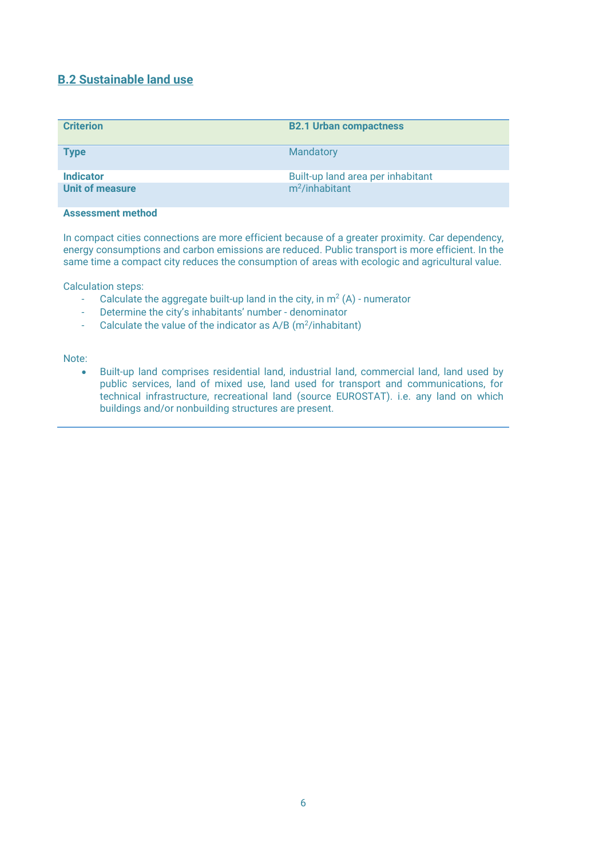# **B.2 Sustainable land use**

| <b>Criterion</b>       | <b>B2.1 Urban compactness</b>     |
|------------------------|-----------------------------------|
| <b>Type</b>            | Mandatory                         |
| <b>Indicator</b>       | Built-up land area per inhabitant |
| <b>Unit of measure</b> | $m^2$ /inhabitant                 |

#### **Assessment method**

In compact cities connections are more efficient because of a greater proximity. Car dependency, energy consumptions and carbon emissions are reduced. Public transport is more efficient. In the same time a compact city reduces the consumption of areas with ecologic and agricultural value.

Calculation steps:

- Calculate the aggregate built-up land in the city, in  $m^2(A)$  numerator
- Determine the city's inhabitants' number denominator
- Calculate the value of the indicator as  $A/B$  (m<sup>2</sup>/inhabitant)

#### Note:

• Built-up land comprises residential land, industrial land, commercial land, land used by public services, land of mixed use, land used for transport and communications, for technical infrastructure, recreational land (source EUROSTAT). i.e. any land on which buildings and/or nonbuilding structures are present.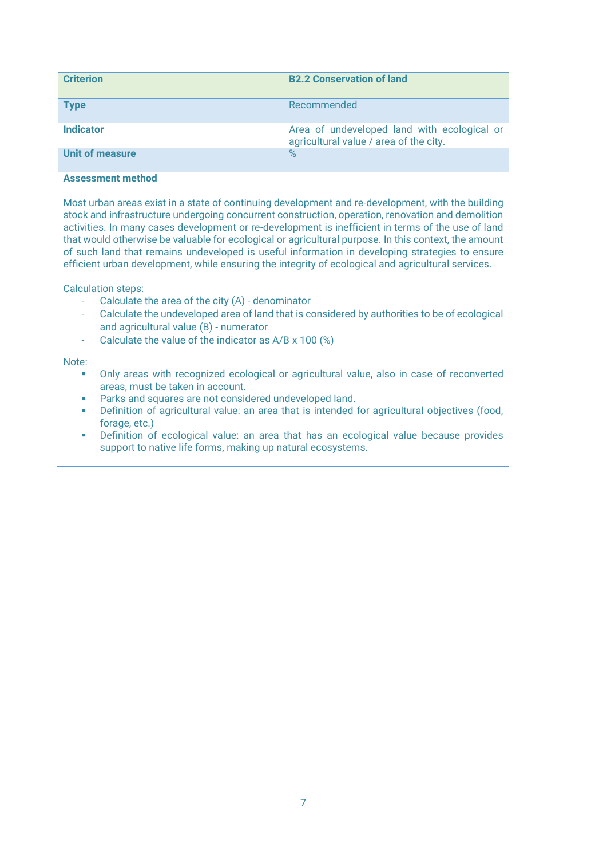| <b>Criterion</b> | <b>B2.2 Conservation of land</b>                                                      |
|------------------|---------------------------------------------------------------------------------------|
| <b>Type</b>      | Recommended                                                                           |
| <b>Indicator</b> | Area of undeveloped land with ecological or<br>agricultural value / area of the city. |
| Unit of measure  | $\%$                                                                                  |

Most urban areas exist in a state of continuing development and re-development, with the building stock and infrastructure undergoing concurrent construction, operation, renovation and demolition activities. In many cases development or re-development is inefficient in terms of the use of land that would otherwise be valuable for ecological or agricultural purpose. In this context, the amount of such land that remains undeveloped is useful information in developing strategies to ensure efficient urban development, while ensuring the integrity of ecological and agricultural services.

Calculation steps:

- Calculate the area of the city (A) denominator
- Calculate the undeveloped area of land that is considered by authorities to be of ecological and agricultural value (B) - numerator
- Calculate the value of the indicator as A/B x 100 (%)

Note:

- Only areas with recognized ecological or agricultural value, also in case of reconverted areas, must be taken in account.
- Parks and squares are not considered undeveloped land.
- **•** Definition of agricultural value: an area that is intended for agricultural objectives (food, forage, etc.)
- Definition of ecological value: an area that has an ecological value because provides support to native life forms, making up natural ecosystems.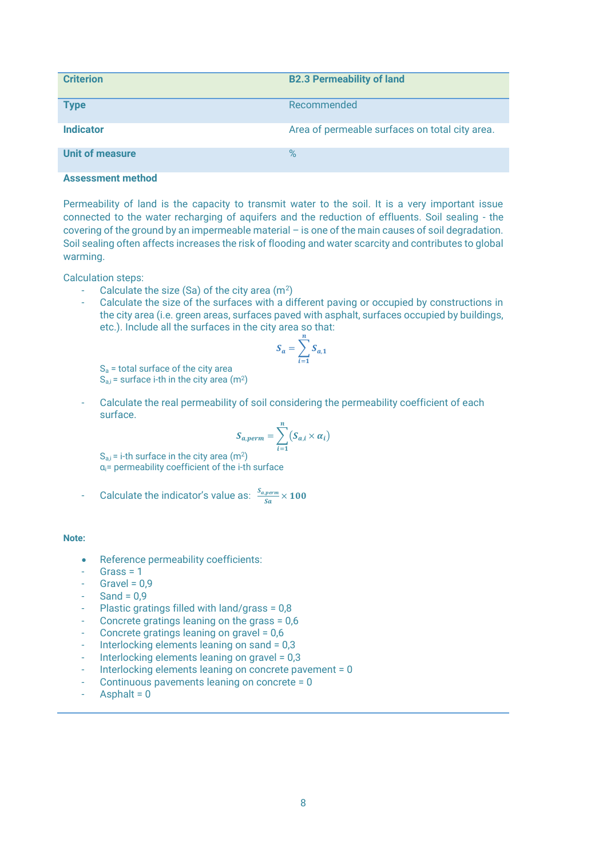| <b>Criterion</b>       | <b>B2.3 Permeability of land</b>               |
|------------------------|------------------------------------------------|
| <b>Type</b>            | Recommended                                    |
| <b>Indicator</b>       | Area of permeable surfaces on total city area. |
| <b>Unit of measure</b> | $\%$                                           |

Permeability of land is the capacity to transmit water to the soil. It is a very important issue connected to the water recharging of aquifers and the reduction of effluents. Soil sealing - the covering of the ground by an impermeable material – is one of the main causes of soil degradation. Soil sealing often affects increases the risk of flooding and water scarcity and contributes to global warming.

Calculation steps:

- Calculate the size (Sa) of the city area (m<sup>2</sup>)
- Calculate the size of the surfaces with a different paving or occupied by constructions in the city area (i.e. green areas, surfaces paved with asphalt, surfaces occupied by buildings, etc.). Include all the surfaces in the city area so that:

$$
S_a = \sum_{i=1}^n S_{a,1}
$$

 $S<sub>a</sub>$  = total surface of the city area  $S_{a,i}$  = surface i-th in the city area (m<sup>2</sup>)

Calculate the real permeability of soil considering the permeability coefficient of each surface.

$$
S_{a,perm} = \sum_{i=1}^{n} (S_{a,i} \times \alpha_i)
$$

 $S_{a,i}$  = i-th surface in the city area (m<sup>2</sup>) αi= permeability coefficient of the i-th surface

$$
\frac{1}{5} \quad \text{Calculate the indicator's value as: } \frac{s_{aperm}}{sa} \times 100
$$

#### **Note:**

- Reference permeability coefficients:
- $Grass = 1$
- Gravel =  $0.9$
- Sand =  $0.9$
- Plastic gratings filled with land/grass =  $0.8$
- Concrete gratings leaning on the grass = 0,6
- Concrete gratings leaning on gravel = 0,6
- Interlocking elements leaning on sand = 0,3
- Interlocking elements leaning on gravel = 0,3
- Interlocking elements leaning on concrete pavement = 0
- Continuous pavements leaning on concrete = 0
- Asphalt  $= 0$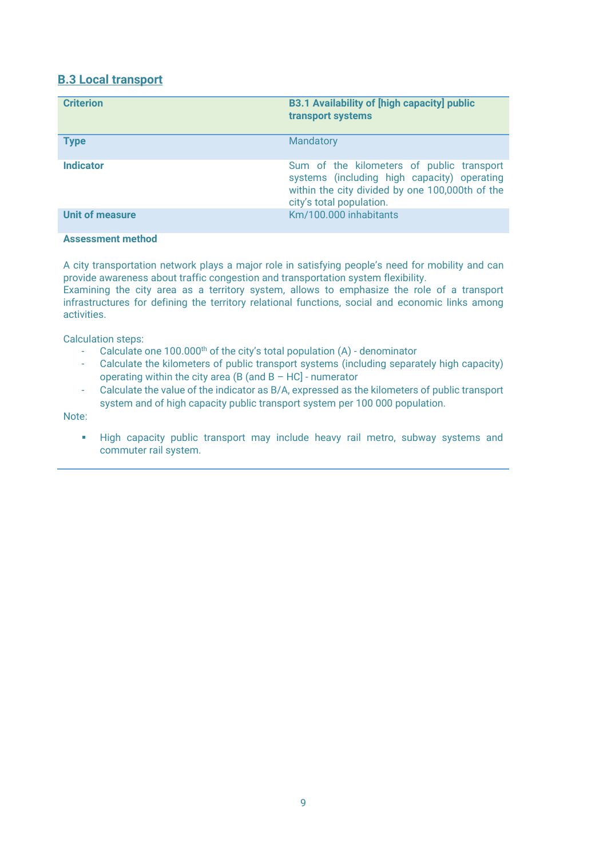# **B.3 Local transport**

| <b>Criterion</b> | <b>B3.1 Availability of [high capacity] public</b><br>transport systems                                                                                                 |
|------------------|-------------------------------------------------------------------------------------------------------------------------------------------------------------------------|
| <b>Type</b>      | Mandatory                                                                                                                                                               |
| <b>Indicator</b> | Sum of the kilometers of public transport<br>systems (including high capacity) operating<br>within the city divided by one 100,000th of the<br>city's total population. |
| Unit of measure  | Km/100.000 inhabitants                                                                                                                                                  |

#### **Assessment method**

A city transportation network plays a major role in satisfying people's need for mobility and can provide awareness about traffic congestion and transportation system flexibility.

Examining the city area as a territory system, allows to emphasize the role of a transport infrastructures for defining the territory relational functions, social and economic links among activities.

Calculation steps:

- Calculate one  $100.000<sup>th</sup>$  of the city's total population (A) denominator
- Calculate the kilometers of public transport systems (including separately high capacity) operating within the city area (B (and  $B - HC$ ) - numerator
- Calculate the value of the indicator as B/A, expressed as the kilometers of public transport system and of high capacity public transport system per 100 000 population.

Note:

▪ High capacity public transport may include heavy rail metro, subway systems and commuter rail system.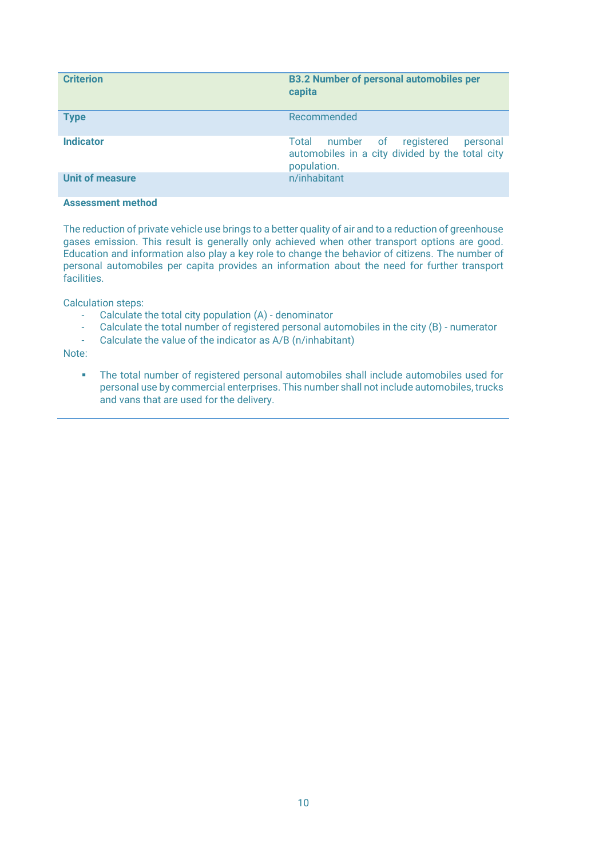| <b>Criterion</b>       | <b>B3.2 Number of personal automobiles per</b><br>capita                                                    |
|------------------------|-------------------------------------------------------------------------------------------------------------|
| <b>Type</b>            | Recommended                                                                                                 |
| <b>Indicator</b>       | number of registered<br>Total<br>personal<br>automobiles in a city divided by the total city<br>population. |
| <b>Unit of measure</b> | n/inhabitant                                                                                                |

The reduction of private vehicle use brings to a better quality of air and to a reduction of greenhouse gases emission. This result is generally only achieved when other transport options are good. Education and information also play a key role to change the behavior of citizens. The number of personal automobiles per capita provides an information about the need for further transport facilities.

Calculation steps:

- Calculate the total city population (A) denominator
- Calculate the total number of registered personal automobiles in the city (B) numerator
- Calculate the value of the indicator as A/B (n/inhabitant)

Note:

▪ The total number of registered personal automobiles shall include automobiles used for personal use by commercial enterprises. This number shall not include automobiles, trucks and vans that are used for the delivery.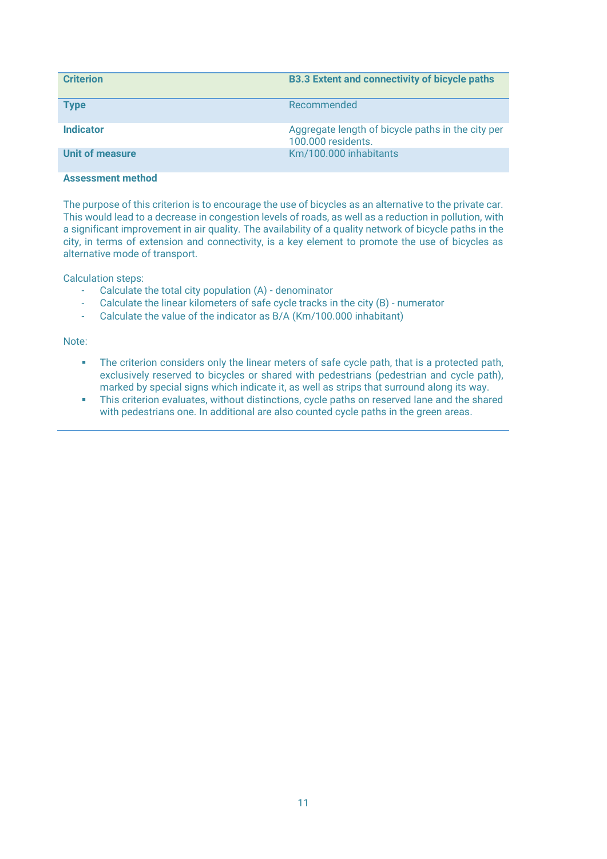| <b>Criterion</b> | <b>B3.3 Extent and connectivity of bicycle paths</b>                    |
|------------------|-------------------------------------------------------------------------|
| <b>Type</b>      | Recommended                                                             |
| <b>Indicator</b> | Aggregate length of bicycle paths in the city per<br>100,000 residents. |
| Unit of measure  | Km/100.000 inhabitants                                                  |

The purpose of this criterion is to encourage the use of bicycles as an alternative to the private car. This would lead to a decrease in congestion levels of roads, as well as a reduction in pollution, with a significant improvement in air quality. The availability of a quality network of bicycle paths in the city, in terms of extension and connectivity, is a key element to promote the use of bicycles as alternative mode of transport.

Calculation steps:

- Calculate the total city population (A) denominator
- Calculate the linear kilometers of safe cycle tracks in the city (B) numerator
- Calculate the value of the indicator as B/A (Km/100.000 inhabitant)

#### Note:

- **•** The criterion considers only the linear meters of safe cycle path, that is a protected path, exclusively reserved to bicycles or shared with pedestrians (pedestrian and cycle path), marked by special signs which indicate it, as well as strips that surround along its way.
- This criterion evaluates, without distinctions, cycle paths on reserved lane and the shared with pedestrians one. In additional are also counted cycle paths in the green areas.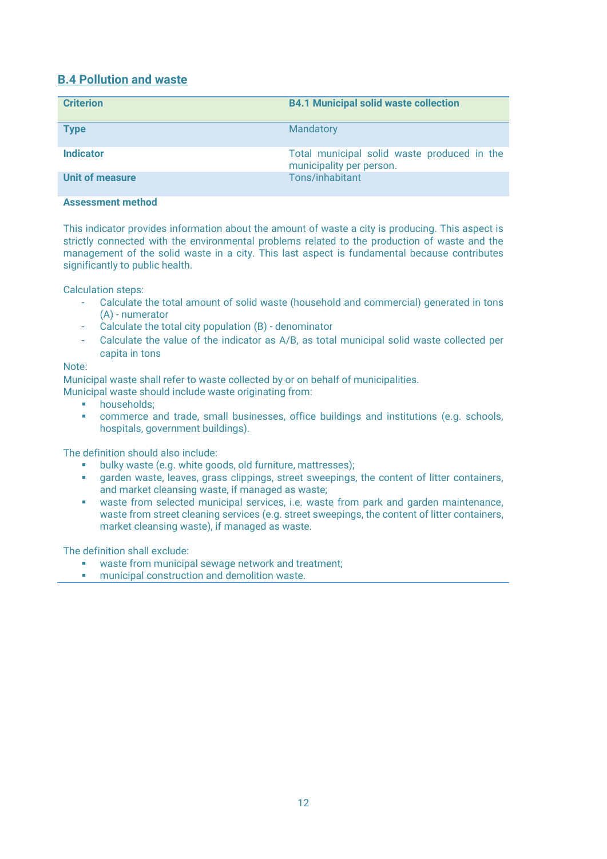# **B.4 Pollution and waste**

| <b>Criterion</b>       | <b>B4.1 Municipal solid waste collection</b>                            |
|------------------------|-------------------------------------------------------------------------|
| <b>Type</b>            | Mandatory                                                               |
| <b>Indicator</b>       | Total municipal solid waste produced in the<br>municipality per person. |
| <b>Unit of measure</b> | Tons/inhabitant                                                         |

#### **Assessment method**

This indicator provides information about the amount of waste a city is producing. This aspect is strictly connected with the environmental problems related to the production of waste and the management of the solid waste in a city. This last aspect is fundamental because contributes significantly to public health.

Calculation steps:

- Calculate the total amount of solid waste (household and commercial) generated in tons (A) - numerator
- Calculate the total city population (B) denominator
- Calculate the value of the indicator as A/B, as total municipal solid waste collected per capita in tons

#### Note:

Municipal waste shall refer to waste collected by or on behalf of municipalities.

Municipal waste should include waste originating from:

- **■** households:
- commerce and trade, small businesses, office buildings and institutions (e.g. schools, hospitals, government buildings).

The definition should also include:

- bulky waste (e.g. white goods, old furniture, mattresses);
- garden waste, leaves, grass clippings, street sweepings, the content of litter containers, and market cleansing waste, if managed as waste;
- waste from selected municipal services, i.e. waste from park and garden maintenance, waste from street cleaning services (e.g. street sweepings, the content of litter containers, market cleansing waste), if managed as waste.

The definition shall exclude:

- waste from municipal sewage network and treatment;<br>■ municipal construction and demolition waste
- municipal construction and demolition waste.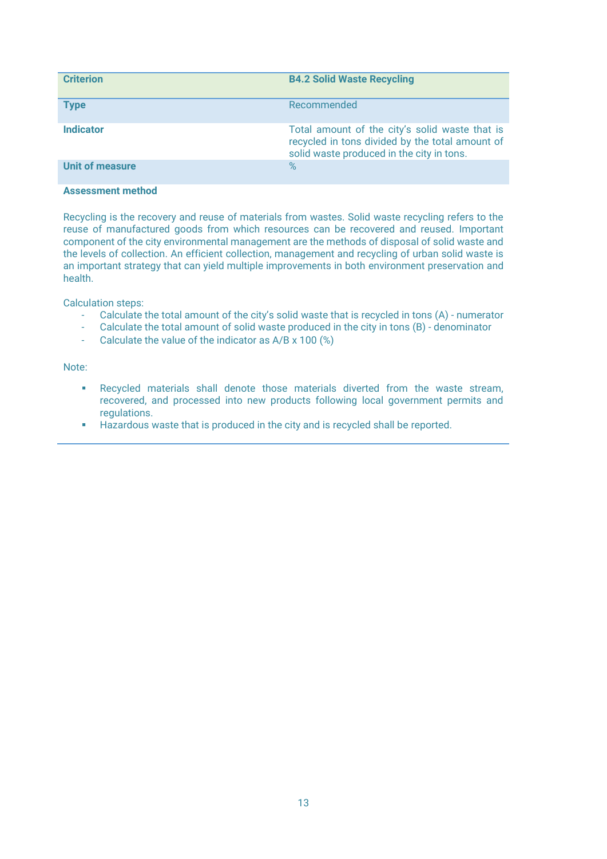| <b>Criterion</b> | <b>B4.2 Solid Waste Recycling</b>                                                                                                              |
|------------------|------------------------------------------------------------------------------------------------------------------------------------------------|
| <b>Type</b>      | Recommended                                                                                                                                    |
| <b>Indicator</b> | Total amount of the city's solid waste that is<br>recycled in tons divided by the total amount of<br>solid waste produced in the city in tons. |
| Unit of measure  | $\%$                                                                                                                                           |

Recycling is the recovery and reuse of materials from wastes. Solid waste recycling refers to the reuse of manufactured goods from which resources can be recovered and reused. Important component of the city environmental management are the methods of disposal of solid waste and the levels of collection. An efficient collection, management and recycling of urban solid waste is an important strategy that can yield multiple improvements in both environment preservation and health.

Calculation steps:

- Calculate the total amount of the city's solid waste that is recycled in tons (A) numerator
- Calculate the total amount of solid waste produced in the city in tons (B) denominator
- Calculate the value of the indicator as A/B x 100 (%)

Note:

- Recycled materials shall denote those materials diverted from the waste stream, recovered, and processed into new products following local government permits and regulations.
- Hazardous waste that is produced in the city and is recycled shall be reported.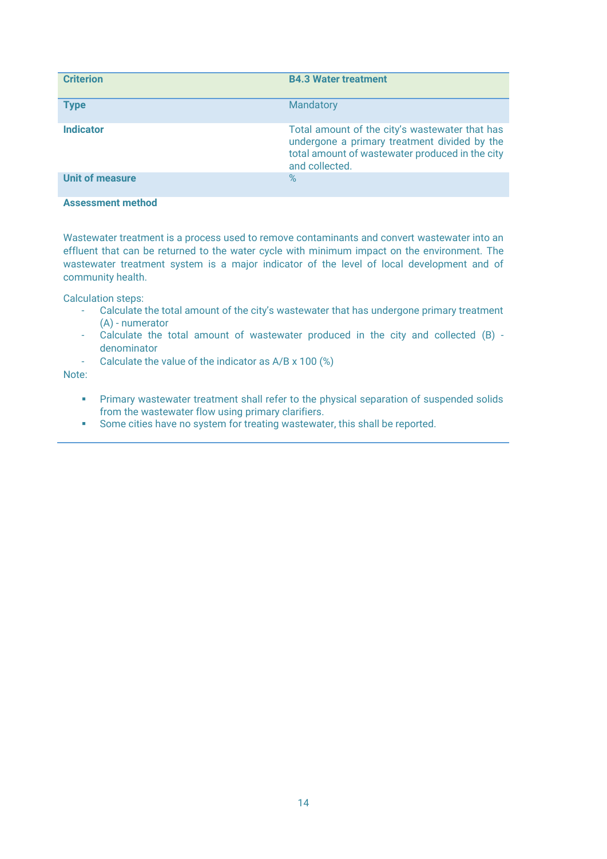| <b>Criterion</b>       | <b>B4.3 Water treatment</b>                                                                                                                                         |
|------------------------|---------------------------------------------------------------------------------------------------------------------------------------------------------------------|
| <b>Type</b>            | Mandatory                                                                                                                                                           |
| <b>Indicator</b>       | Total amount of the city's wastewater that has<br>undergone a primary treatment divided by the<br>total amount of wastewater produced in the city<br>and collected. |
| <b>Unit of measure</b> | $\%$                                                                                                                                                                |

Wastewater treatment is a process used to remove contaminants and convert wastewater into an effluent that can be returned to the water cycle with minimum impact on the environment. The wastewater treatment system is a major indicator of the level of local development and of community health.

Calculation steps:

- Calculate the total amount of the city's wastewater that has undergone primary treatment (A) - numerator
- Calculate the total amount of wastewater produced in the city and collected (B) denominator
- Calculate the value of the indicator as A/B x 100 (%)

Note:

- **•** Primary wastewater treatment shall refer to the physical separation of suspended solids from the wastewater flow using primary clarifiers.
- Some cities have no system for treating wastewater, this shall be reported.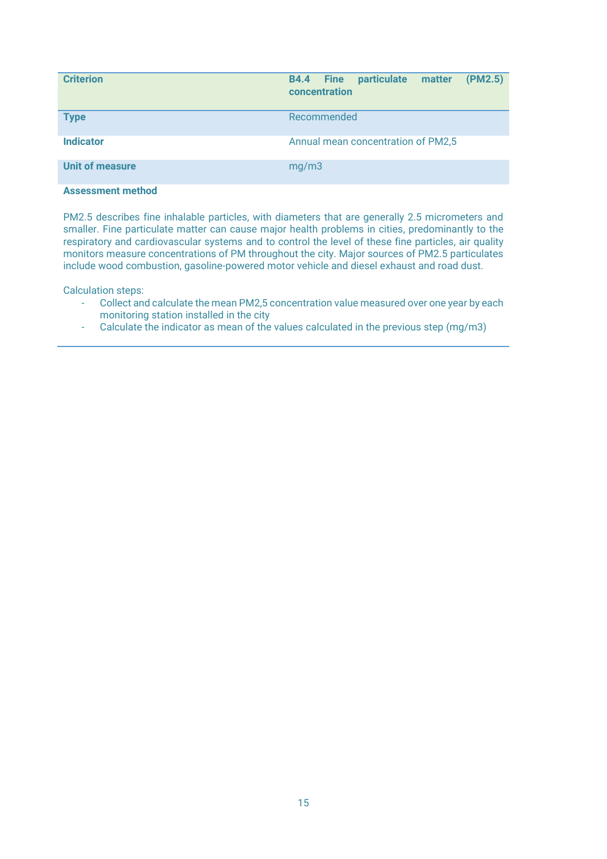| <b>Criterion</b>       | (PM2.5)<br>particulate<br><b>B4.4</b> Fine<br>matter<br>concentration |
|------------------------|-----------------------------------------------------------------------|
| <b>Type</b>            | Recommended                                                           |
| <b>Indicator</b>       | Annual mean concentration of PM2,5                                    |
| <b>Unit of measure</b> | mg/m3                                                                 |

PM2.5 describes fine inhalable particles, with diameters that are generally 2.5 micrometers and smaller. Fine particulate matter can cause major health problems in cities, predominantly to the respiratory and cardiovascular systems and to control the level of these fine particles, air quality monitors measure concentrations of PM throughout the city. Major sources of PM2.5 particulates include wood combustion, gasoline-powered motor vehicle and diesel exhaust and road dust.

- Collect and calculate the mean PM2,5 concentration value measured over one year by each monitoring station installed in the city
- Calculate the indicator as mean of the values calculated in the previous step (mg/m3)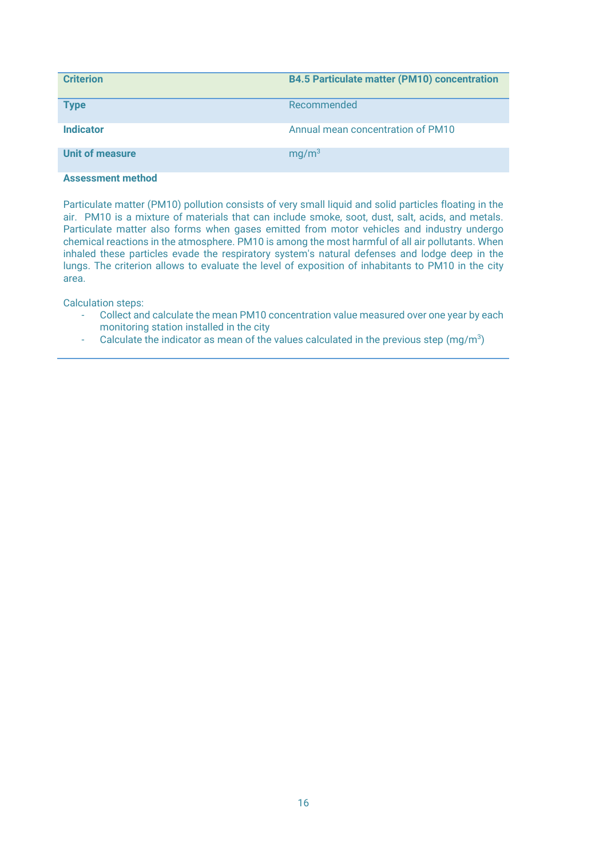| <b>Criterion</b> | <b>B4.5 Particulate matter (PM10) concentration</b> |
|------------------|-----------------------------------------------------|
| <b>Type</b>      | Recommended                                         |
| <b>Indicator</b> | Annual mean concentration of PM10                   |
| Unit of measure  | mq/m <sup>3</sup>                                   |

Particulate matter (PM10) pollution consists of very small liquid and solid particles floating in the air. PM10 is a mixture of materials that can include smoke, soot, dust, salt, acids, and metals. Particulate matter also forms when gases emitted from motor vehicles and industry undergo chemical reactions in the atmosphere. PM10 is among the most harmful of all air pollutants. When inhaled these particles evade the respiratory system's natural defenses and lodge deep in the lungs. The criterion allows to evaluate the level of exposition of inhabitants to PM10 in the city area.

- Collect and calculate the mean PM10 concentration value measured over one year by each monitoring station installed in the city
- $\,$  Calculate the indicator as mean of the values calculated in the previous step (mg/m $^3$ )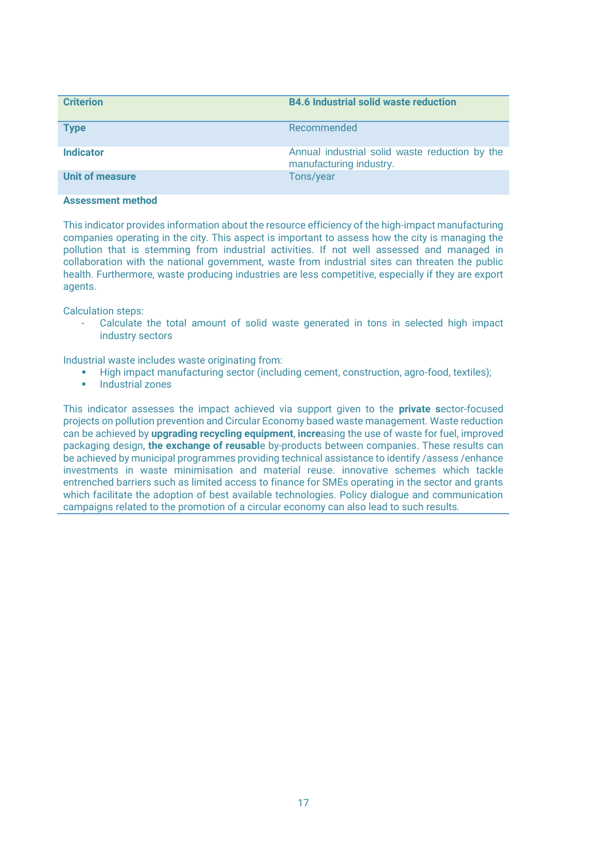| <b>Criterion</b>       | <b>B4.6 Industrial solid waste reduction</b>                              |
|------------------------|---------------------------------------------------------------------------|
| <b>Type</b>            | Recommended                                                               |
| <b>Indicator</b>       | Annual industrial solid waste reduction by the<br>manufacturing industry. |
| <b>Unit of measure</b> | Tons/year                                                                 |

This indicator provides information about the resource efficiency of the high-impact manufacturing companies operating in the city. This aspect is important to assess how the city is managing the pollution that is stemming from industrial activities. If not well assessed and managed in collaboration with the national government, waste from industrial sites can threaten the public health. Furthermore, waste producing industries are less competitive, especially if they are export agents.

Calculation steps:

- Calculate the total amount of solid waste generated in tons in selected high impact industry sectors

Industrial waste includes waste originating from:

- High impact manufacturing sector (including cement, construction, agro-food, textiles);<br>■ Industrial zones
- **Industrial zones**

This indicator assesses the impact achieved via support given to the **private s**ector-focused projects on pollution prevention and Circular Economy based waste management. Waste reduction can be achieved by **upgrading recycling equipment**, **incre**asing the use of waste for fuel, improved packaging design, **the exchange of reusabl**e by-products between companies. These results can be achieved by municipal programmes providing technical assistance to identify /assess /enhance investments in waste minimisation and material reuse. innovative schemes which tackle entrenched barriers such as limited access to finance for SMEs operating in the sector and grants which facilitate the adoption of best available technologies. Policy dialogue and communication campaigns related to the promotion of a circular economy can also lead to such results.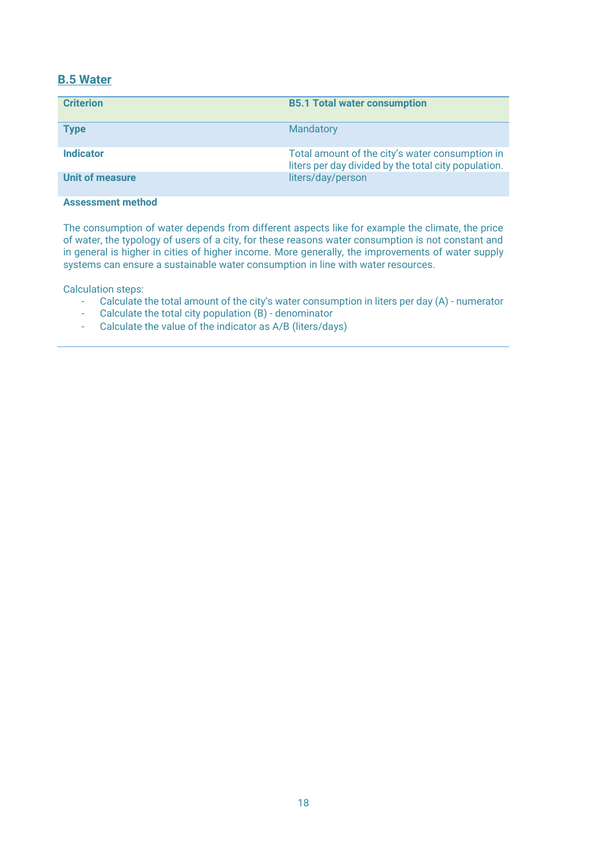# **B.5 Water**

| <b>Criterion</b>       | <b>B5.1 Total water consumption</b>                                                                     |
|------------------------|---------------------------------------------------------------------------------------------------------|
| <b>Type</b>            | Mandatory                                                                                               |
| Indicator              | Total amount of the city's water consumption in<br>liters per day divided by the total city population. |
| <b>Unit of measure</b> | liters/day/person                                                                                       |

# **Assessment method**

The consumption of water depends from different aspects like for example the climate, the price of water, the typology of users of a city, for these reasons water consumption is not constant and in general is higher in cities of higher income. More generally, the improvements of water supply systems can ensure a sustainable water consumption in line with water resources.

- Calculate the total amount of the city's water consumption in liters per day (A) numerator<br>- Calculate the total city population (B) denominator
- Calculate the total city population  $(B)$  denominator
- Calculate the value of the indicator as A/B (liters/days)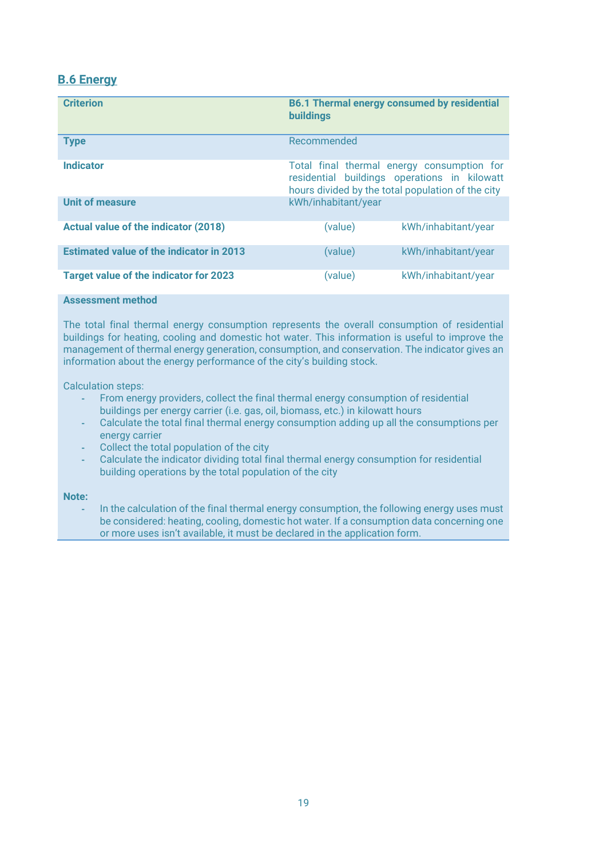# **B.6 Energy**

| <b>Criterion</b>                                | <b>B6.1 Thermal energy consumed by residential</b><br><b>buildings</b>                                                                          |
|-------------------------------------------------|-------------------------------------------------------------------------------------------------------------------------------------------------|
| <b>Type</b>                                     | Recommended                                                                                                                                     |
| <b>Indicator</b>                                | Total final thermal energy consumption for<br>residential buildings operations in kilowatt<br>hours divided by the total population of the city |
| <b>Unit of measure</b>                          | kWh/inhabitant/year                                                                                                                             |
| Actual value of the indicator (2018)            | (value)<br>kWh/inhabitant/year                                                                                                                  |
| <b>Estimated value of the indicator in 2013</b> | (value)<br>kWh/inhabitant/year                                                                                                                  |
| <b>Target value of the indicator for 2023</b>   | (value)<br>kWh/inhabitant/year                                                                                                                  |

#### **Assessment method**

The total final thermal energy consumption represents the overall consumption of residential buildings for heating, cooling and domestic hot water. This information is useful to improve the management of thermal energy generation, consumption, and conservation. The indicator gives an information about the energy performance of the city's building stock.

Calculation steps:

- **-** From energy providers, collect the final thermal energy consumption of residential buildings per energy carrier (i.e. gas, oil, biomass, etc.) in kilowatt hours
- **-** Calculate the total final thermal energy consumption adding up all the consumptions per energy carrier
- **-** Collect the total population of the city
- **-** Calculate the indicator dividing total final thermal energy consumption for residential building operations by the total population of the city

#### **Note:**

**-** In the calculation of the final thermal energy consumption, the following energy uses must be considered: heating, cooling, domestic hot water. If a consumption data concerning one or more uses isn't available, it must be declared in the application form.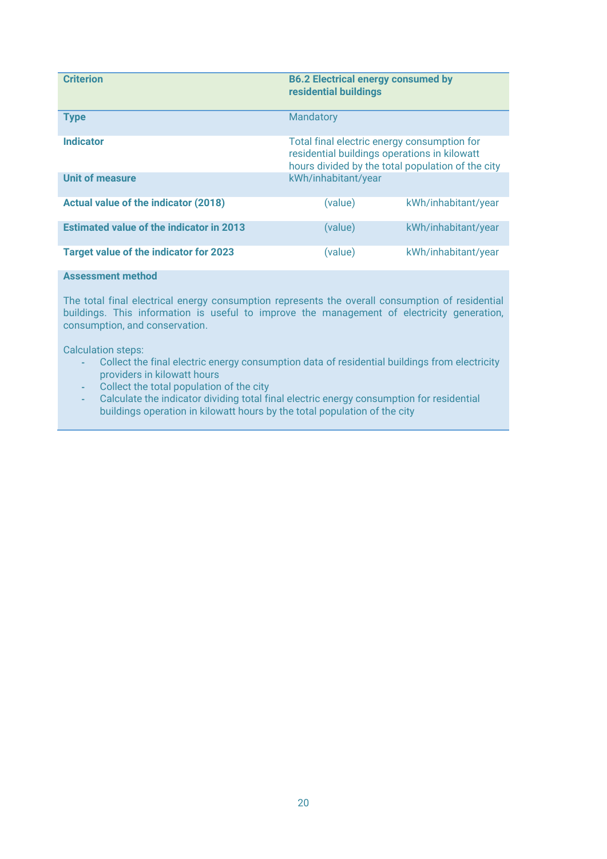| <b>Criterion</b>                                | <b>B6.2 Electrical energy consumed by</b><br>residential buildings                                                                               |                     |
|-------------------------------------------------|--------------------------------------------------------------------------------------------------------------------------------------------------|---------------------|
| <b>Type</b>                                     | Mandatory                                                                                                                                        |                     |
| <b>Indicator</b>                                | Total final electric energy consumption for<br>residential buildings operations in kilowatt<br>hours divided by the total population of the city |                     |
| <b>Unit of measure</b>                          | kWh/inhabitant/year                                                                                                                              |                     |
| Actual value of the indicator (2018)            | (value)                                                                                                                                          | kWh/inhabitant/year |
| <b>Estimated value of the indicator in 2013</b> | (value)                                                                                                                                          | kWh/inhabitant/year |
| <b>Target value of the indicator for 2023</b>   | (value)                                                                                                                                          | kWh/inhabitant/year |

The total final electrical energy consumption represents the overall consumption of residential buildings. This information is useful to improve the management of electricity generation, consumption, and conservation.

Calculation steps:

- **-** Collect the final electric energy consumption data of residential buildings from electricity providers in kilowatt hours
- **-** Collect the total population of the city

**-** Calculate the indicator dividing total final electric energy consumption for residential buildings operation in kilowatt hours by the total population of the city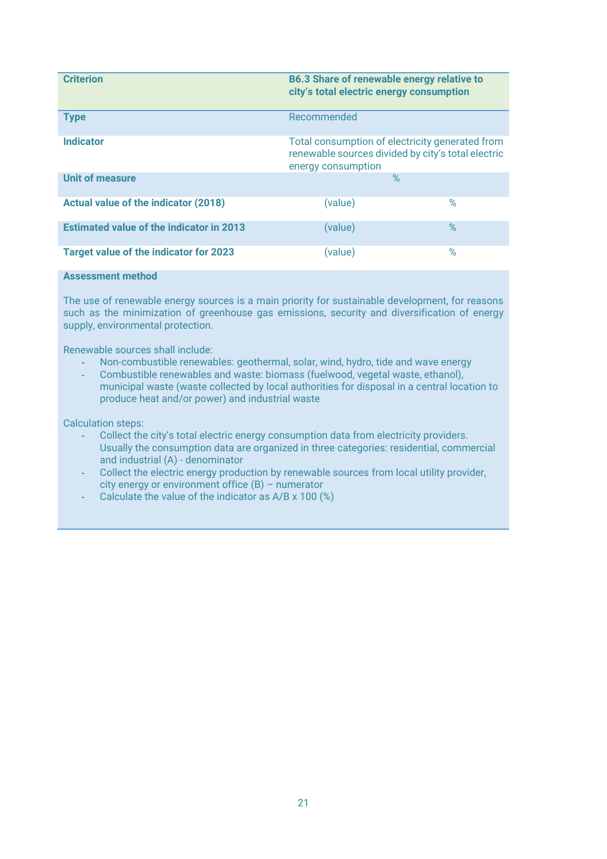| <b>Criterion</b>                                | <b>B6.3 Share of renewable energy relative to</b><br>city's total electric energy consumption                               |      |
|-------------------------------------------------|-----------------------------------------------------------------------------------------------------------------------------|------|
| <b>Type</b>                                     | Recommended                                                                                                                 |      |
| <b>Indicator</b>                                | Total consumption of electricity generated from<br>renewable sources divided by city's total electric<br>energy consumption |      |
| <b>Unit of measure</b>                          | $\%$                                                                                                                        |      |
| <b>Actual value of the indicator (2018)</b>     | (value)                                                                                                                     | $\%$ |
| <b>Estimated value of the indicator in 2013</b> | (value)                                                                                                                     | $\%$ |
| Target value of the indicator for 2023          | (value)                                                                                                                     | $\%$ |

The use of renewable energy sources is a main priority for sustainable development, for reasons such as the minimization of greenhouse gas emissions, security and diversification of energy supply, environmental protection.

Renewable sources shall include:

- **-** Non-combustible renewables: geothermal, solar, wind, hydro, tide and wave energy
- **-** Combustible renewables and waste: biomass (fuelwood, vegetal waste, ethanol), municipal waste (waste collected by local authorities for disposal in a central location to produce heat and/or power) and industrial waste

- **-** Collect the city's total electric energy consumption data from electricity providers. Usually the consumption data are organized in three categories: residential, commercial and industrial (A) - denominator
- **-** Collect the electric energy production by renewable sources from local utility provider, city energy or environment office (B) – numerator
- **-** Calculate the value of the indicator as A/B x 100 (%)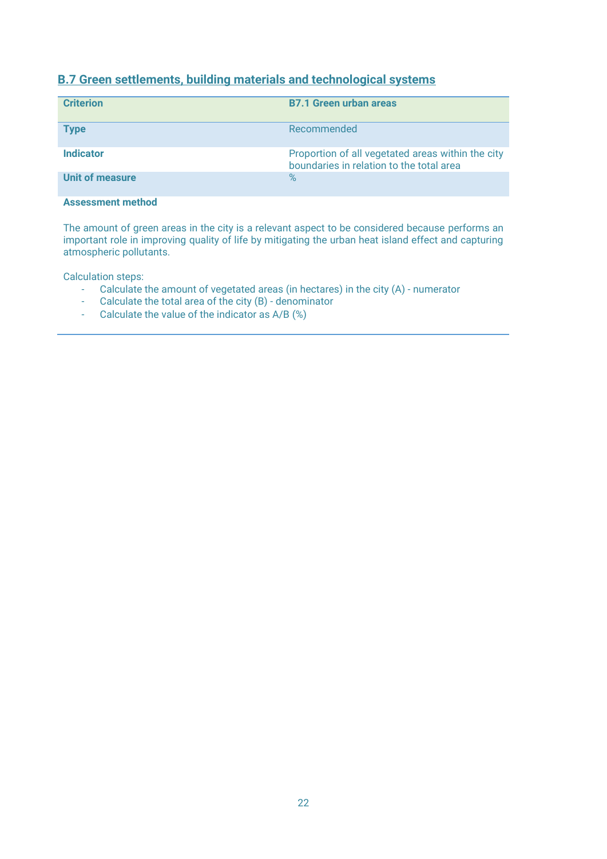# **B.7 Green settlements, building materials and technological systems**

| <b>Criterion</b> | <b>B7.1 Green urban areas</b>                                                                 |
|------------------|-----------------------------------------------------------------------------------------------|
| <b>Type</b>      | Recommended                                                                                   |
| <b>Indicator</b> | Proportion of all vegetated areas within the city<br>boundaries in relation to the total area |
| Unit of measure  | $\%$                                                                                          |

# **Assessment method**

The amount of green areas in the city is a relevant aspect to be considered because performs an important role in improving quality of life by mitigating the urban heat island effect and capturing atmospheric pollutants.

- Calculate the amount of vegetated areas (in hectares) in the city (A) numerator
- Calculate the total area of the city (B) denominator
- Calculate the value of the indicator as A/B (%)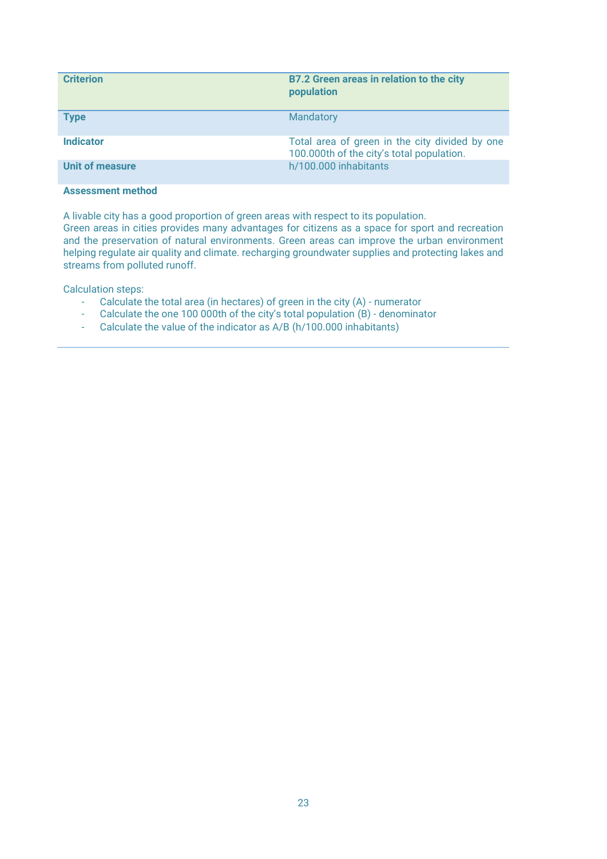| <b>Criterion</b> | <b>B7.2 Green areas in relation to the city</b><br>population                               |
|------------------|---------------------------------------------------------------------------------------------|
| <b>Type</b>      | Mandatory                                                                                   |
| <b>Indicator</b> | Total area of green in the city divided by one<br>100.000th of the city's total population. |
| Unit of measure  | h/100.000 inhabitants                                                                       |

A livable city has a good proportion of green areas with respect to its population.

Green areas in cities provides many advantages for citizens as a space for sport and recreation and the preservation of natural environments. Green areas can improve the urban environment helping regulate air quality and climate. recharging groundwater supplies and protecting lakes and streams from polluted runoff.

- Calculate the total area (in hectares) of green in the city (A) numerator<br>Calculate the one 100 000th of the city's total population (B) denomina
- Calculate the one 100 000th of the city's total population  $(B)$  denominator
- Calculate the value of the indicator as A/B (h/100.000 inhabitants)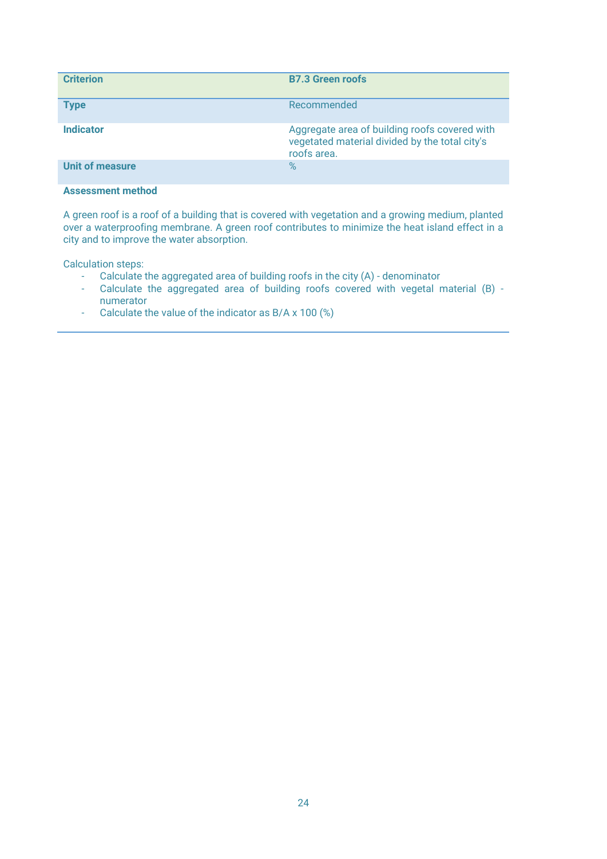| <b>Criterion</b> | <b>B7.3 Green roofs</b>                                                                                        |
|------------------|----------------------------------------------------------------------------------------------------------------|
| <b>Type</b>      | Recommended                                                                                                    |
| <b>Indicator</b> | Aggregate area of building roofs covered with<br>vegetated material divided by the total city's<br>roofs area. |
| Unit of measure  | $\%$                                                                                                           |

A green roof is a roof of a building that is covered with vegetation and a growing medium, planted over a waterproofing membrane. A green roof contributes to minimize the heat island effect in a city and to improve the water absorption.

- Calculate the aggregated area of building roofs in the city (A) denominator
- Calculate the aggregated area of building roofs covered with vegetal material (B) numerator
- Calculate the value of the indicator as B/A x 100 (%)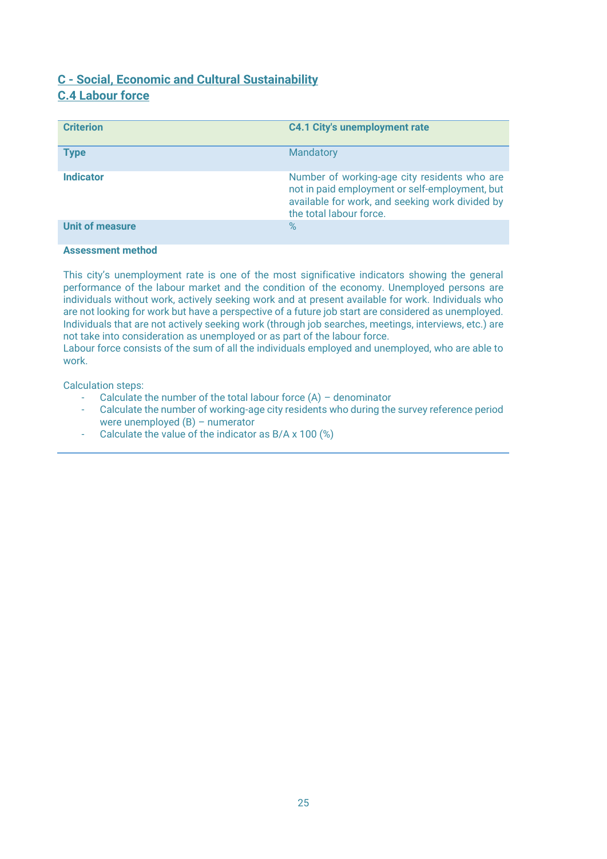# <span id="page-24-0"></span>**C - Social, Economic and Cultural Sustainability C.4 Labour force**

| <b>Criterion</b>       | <b>C4.1 City's unemployment rate</b>                                                                                                                                         |
|------------------------|------------------------------------------------------------------------------------------------------------------------------------------------------------------------------|
| <b>Type</b>            | Mandatory                                                                                                                                                                    |
| <b>Indicator</b>       | Number of working-age city residents who are<br>not in paid employment or self-employment, but<br>available for work, and seeking work divided by<br>the total labour force. |
| <b>Unit of measure</b> | $\%$                                                                                                                                                                         |

#### **Assessment method**

This city's unemployment rate is one of the most significative indicators showing the general performance of the labour market and the condition of the economy. Unemployed persons are individuals without work, actively seeking work and at present available for work. Individuals who are not looking for work but have a perspective of a future job start are considered as unemployed. Individuals that are not actively seeking work (through job searches, meetings, interviews, etc.) are not take into consideration as unemployed or as part of the labour force.

Labour force consists of the sum of all the individuals employed and unemployed, who are able to work.

- Calculate the number of the total labour force (A) denominator
- Calculate the number of working-age city residents who during the survey reference period were unemployed (B) – numerator
- Calculate the value of the indicator as B/A x 100 (%)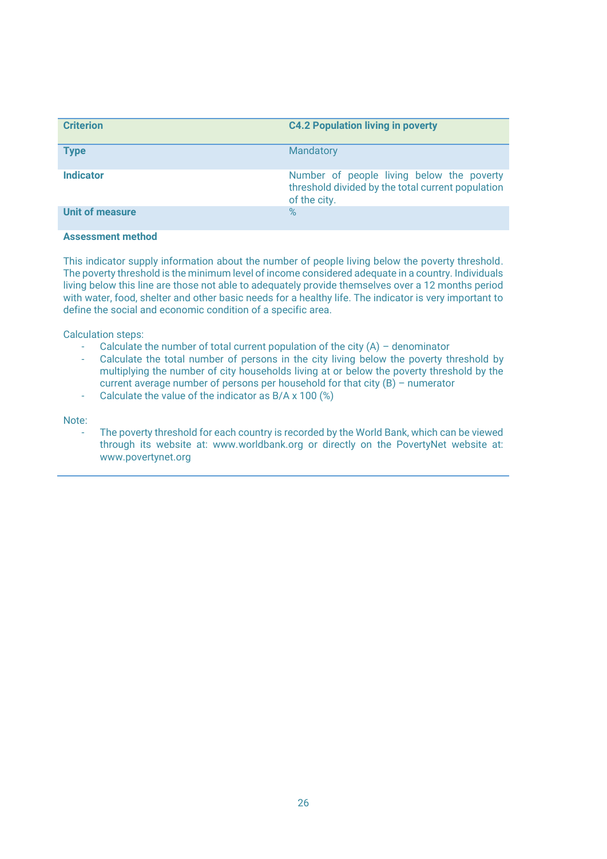| <b>Criterion</b>       | <b>C4.2 Population living in poverty</b>                                                                       |
|------------------------|----------------------------------------------------------------------------------------------------------------|
| <b>Type</b>            | Mandatory                                                                                                      |
| <b>Indicator</b>       | Number of people living below the poverty<br>threshold divided by the total current population<br>of the city. |
| <b>Unit of measure</b> | $\%$                                                                                                           |

This indicator supply information about the number of people living below the poverty threshold. The poverty threshold is the minimum level of income considered adequate in a country. Individuals living below this line are those not able to adequately provide themselves over a 12 months period with water, food, shelter and other basic needs for a healthy life. The indicator is very important to define the social and economic condition of a specific area.

Calculation steps:

- Calculate the number of total current population of the city  $(A)$  denominator
- Calculate the total number of persons in the city living below the poverty threshold by multiplying the number of city households living at or below the poverty threshold by the current average number of persons per household for that city (B) – numerator
- Calculate the value of the indicator as  $B/A \times 100$  (%)

Note:

The poverty threshold for each country is recorded by the World Bank, which can be viewed through its website at: www.worldbank.org or directly on the PovertyNet website at: www.povertynet.org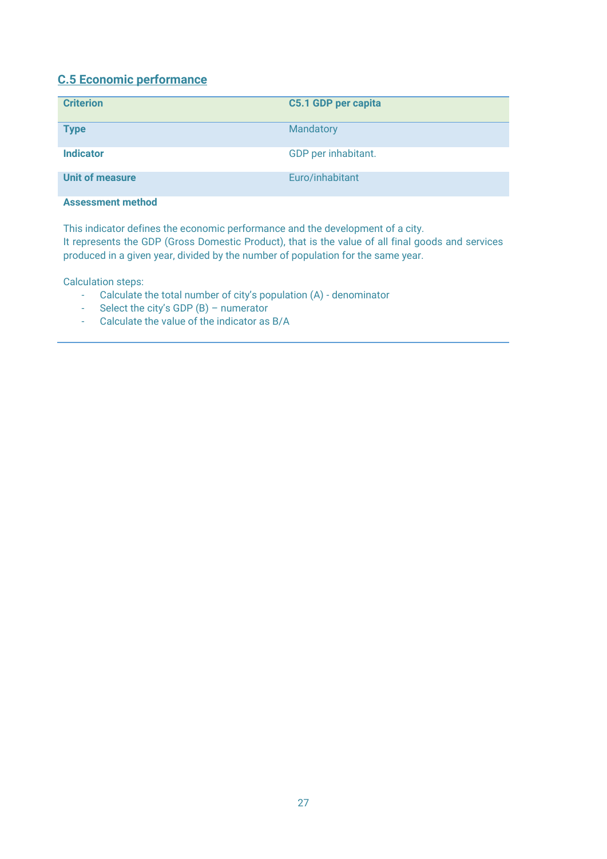# **C.5 Economic performance**

| <b>Criterion</b>         | C5.1 GDP per capita |
|--------------------------|---------------------|
| <b>Type</b>              | <b>Mandatory</b>    |
| <b>Indicator</b>         | GDP per inhabitant. |
| <b>Unit of measure</b>   | Euro/inhabitant     |
| <b>Assessment method</b> |                     |

This indicator defines the economic performance and the development of a city. It represents the GDP (Gross Domestic Product), that is the value of all final goods and services produced in a given year, divided by the number of population for the same year.

- Calculate the total number of city's population (A) denominator
- Select the city's GDP (B) numerator
- Calculate the value of the indicator as B/A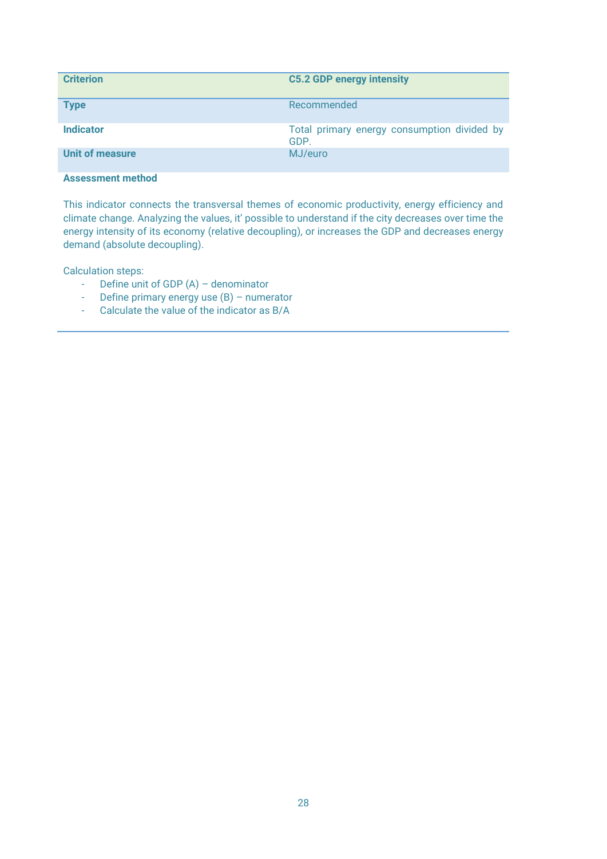| <b>Criterion</b>       | <b>C5.2 GDP energy intensity</b>                    |
|------------------------|-----------------------------------------------------|
| <b>Type</b>            | Recommended                                         |
| <b>Indicator</b>       | Total primary energy consumption divided by<br>GDP. |
| <b>Unit of measure</b> | MJ/euro                                             |

This indicator connects the transversal themes of economic productivity, energy efficiency and climate change. Analyzing the values, it' possible to understand if the city decreases over time the energy intensity of its economy (relative decoupling), or increases the GDP and decreases energy demand (absolute decoupling).

- Define unit of GDP (A) denominator
- Define primary energy use (B) numerator
- Calculate the value of the indicator as B/A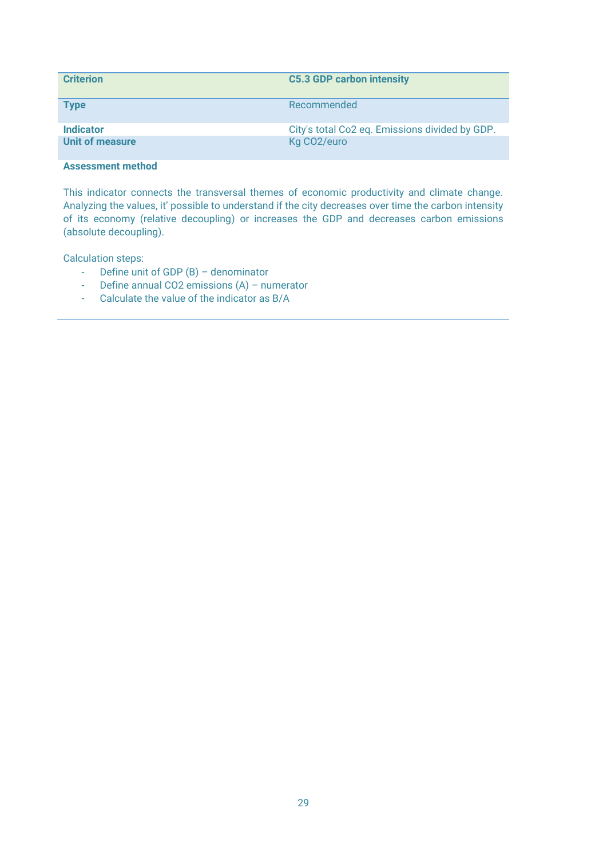| <b>Criterion</b>       | <b>C5.3 GDP carbon intensity</b>               |
|------------------------|------------------------------------------------|
| <b>Type</b>            | Recommended                                    |
| <b>Indicator</b>       | City's total Co2 eq. Emissions divided by GDP. |
| <b>Unit of measure</b> | Kg CO <sub>2</sub> /euro                       |

This indicator connects the transversal themes of economic productivity and climate change. Analyzing the values, it' possible to understand if the city decreases over time the carbon intensity of its economy (relative decoupling) or increases the GDP and decreases carbon emissions (absolute decoupling).

- Define unit of GDP (B) denominator
- Define annual CO2 emissions (A) numerator
- Calculate the value of the indicator as B/A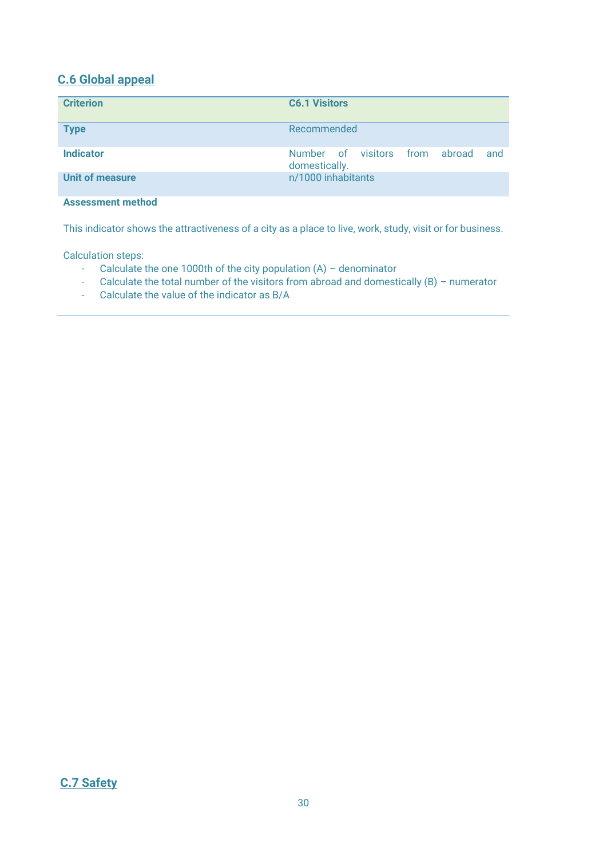# **C.6 Global appeal**

| <b>Criterion</b>         | <b>C6.1 Visitors</b>                                         |
|--------------------------|--------------------------------------------------------------|
| <b>Type</b>              | Recommended                                                  |
| <b>Indicator</b>         | Number of visitors<br>from<br>abroad<br>and<br>domestically. |
| <b>Unit of measure</b>   | n/1000 inhabitants                                           |
| <b>Assessment method</b> |                                                              |

This indicator shows the attractiveness of a city as a place to live, work, study, visit or for business.

- Calculate the one 1000th of the city population (A) denominator
- Calculate the total number of the visitors from abroad and domestically (B) numerator
- Calculate the value of the indicator as B/A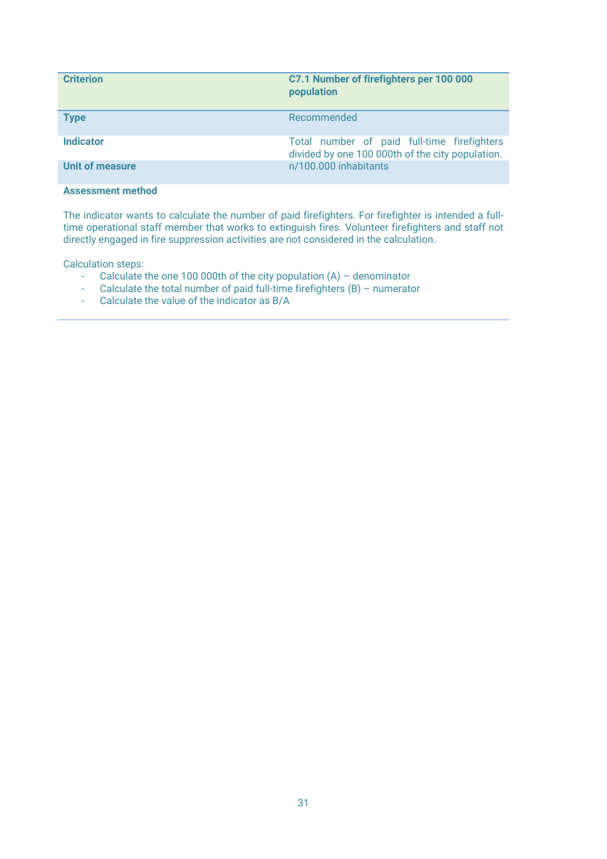| <b>Criterion</b> | C7.1 Number of firefighters per 100 000<br>population                                           |
|------------------|-------------------------------------------------------------------------------------------------|
| <b>Type</b>      | Recommended                                                                                     |
| <b>Indicator</b> | Total number of paid full-time firefighters<br>divided by one 100 000th of the city population. |
| Unit of measure  | n/100.000 inhabitants                                                                           |

The indicator wants to calculate the number of paid firefighters. For firefighter is intended a fulltime operational staff member that works to extinguish fires. Volunteer firefighters and staff not directly engaged in fire suppression activities are not considered in the calculation.

- Calculate the one 100 000th of the city population (A) denominator
- Calculate the total number of paid full-time firefighters (B) numerator
- Calculate the value of the indicator as B/A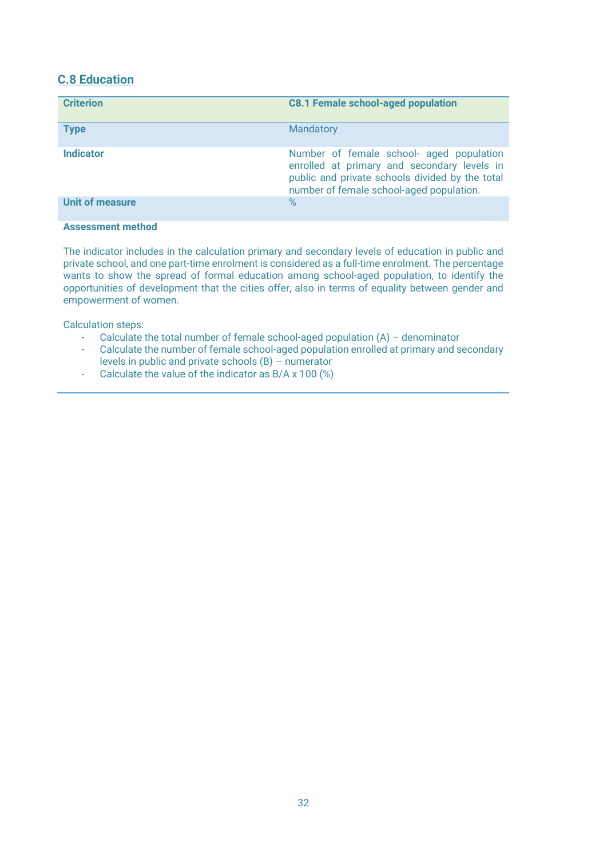# **C.8 Education**

| Mandatory<br><b>Type</b><br><b>Indicator</b><br>number of female school-aged population. | <b>Criterion</b>       | <b>C8.1 Female school-aged population</b>                                                                                                  |
|------------------------------------------------------------------------------------------|------------------------|--------------------------------------------------------------------------------------------------------------------------------------------|
|                                                                                          |                        |                                                                                                                                            |
|                                                                                          |                        | Number of female school- aged population<br>enrolled at primary and secondary levels in<br>public and private schools divided by the total |
|                                                                                          | <b>Unit of measure</b> | %                                                                                                                                          |

#### **Assessment method**

The indicator includes in the calculation primary and secondary levels of education in public and private school, and one part-time enrolment is considered as a full-time enrolment. The percentage wants to show the spread of formal education among school-aged population, to identify the opportunities of development that the cities offer, also in terms of equality between gender and empowerment of women.

- Calculate the total number of female school-aged population  $(A)$  denominator
- Calculate the number of female school-aged population enrolled at primary and secondary levels in public and private schools (B) – numerator
- Calculate the value of the indicator as B/A x 100 (%)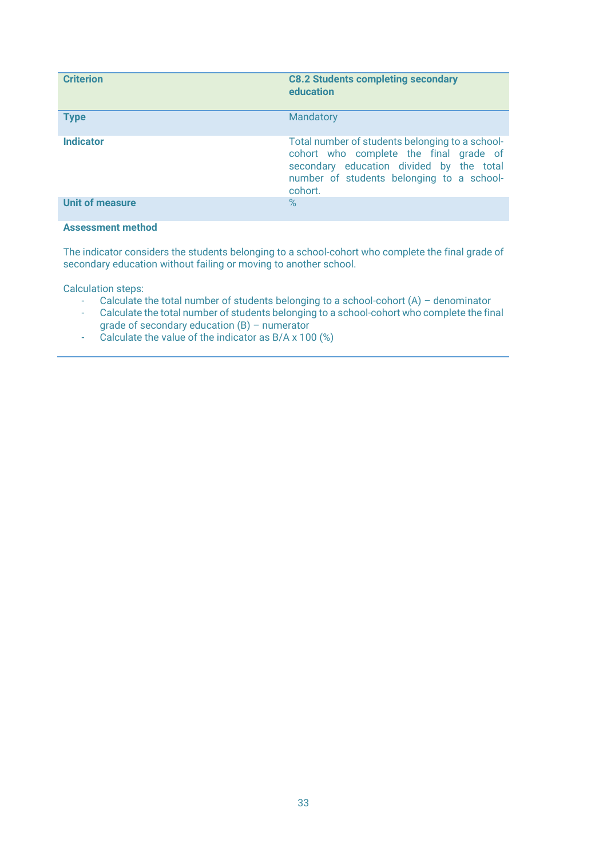| <b>Criterion</b>         | <b>C8.2 Students completing secondary</b><br>education                                                                                                                                        |
|--------------------------|-----------------------------------------------------------------------------------------------------------------------------------------------------------------------------------------------|
| <b>Type</b>              | <b>Mandatory</b>                                                                                                                                                                              |
| <b>Indicator</b>         | Total number of students belonging to a school-<br>cohort who complete the final grade of<br>secondary education divided by the total<br>number of students belonging to a school-<br>cohort. |
| <b>Unit of measure</b>   | $\%$                                                                                                                                                                                          |
| <b>Assessment method</b> |                                                                                                                                                                                               |

The indicator considers the students belonging to a school-cohort who complete the final grade of secondary education without failing or moving to another school.

- Calculate the total number of students belonging to a school-cohort (A) denominator
- Calculate the total number of students belonging to a school-cohort who complete the final grade of secondary education (B) – numerator
- Calculate the value of the indicator as B/A x 100 (%)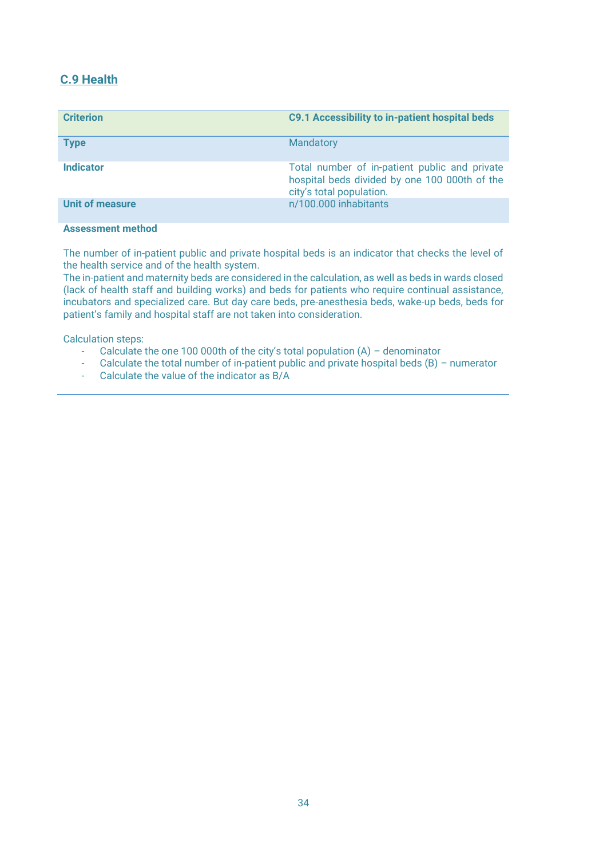# **C.9 Health**

| <b>Criterion</b>       | <b>C9.1 Accessibility to in-patient hospital beds</b>                                                                      |
|------------------------|----------------------------------------------------------------------------------------------------------------------------|
| <b>Type</b>            | Mandatory                                                                                                                  |
| <b>Indicator</b>       | Total number of in-patient public and private<br>hospital beds divided by one 100 000th of the<br>city's total population. |
| <b>Unit of measure</b> | n/100.000 inhabitants                                                                                                      |

#### **Assessment method**

The number of in-patient public and private hospital beds is an indicator that checks the level of the health service and of the health system.

The in-patient and maternity beds are considered in the calculation, as well as beds in wards closed (lack of health staff and building works) and beds for patients who require continual assistance, incubators and specialized care. But day care beds, pre-anesthesia beds, wake-up beds, beds for patient's family and hospital staff are not taken into consideration.

- Calculate the one 100 000th of the city's total population (A) denominator
- Calculate the total number of in-patient public and private hospital beds  $(B)$  numerator
- Calculate the value of the indicator as B/A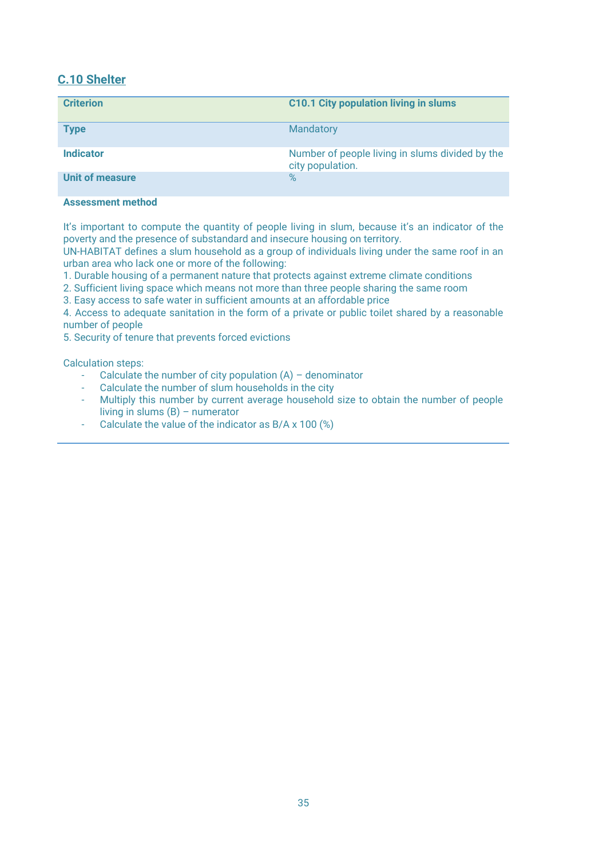# **C.10 Shelter**

| <b>Criterion</b>       | <b>C10.1 City population living in slums</b>                        |
|------------------------|---------------------------------------------------------------------|
| <b>Type</b>            | Mandatory                                                           |
| <b>Indicator</b>       | Number of people living in slums divided by the<br>city population. |
| <b>Unit of measure</b> | $\%$                                                                |

# **Assessment method**

It's important to compute the quantity of people living in slum, because it's an indicator of the poverty and the presence of substandard and insecure housing on territory.

UN-HABITAT defines a slum household as a group of individuals living under the same roof in an urban area who lack one or more of the following:

1. Durable housing of a permanent nature that protects against extreme climate conditions

2. Sufficient living space which means not more than three people sharing the same room

3. Easy access to safe water in sufficient amounts at an affordable price

4. Access to adequate sanitation in the form of a private or public toilet shared by a reasonable number of people

5. Security of tenure that prevents forced evictions

- Calculate the number of city population  $(A)$  denominator
- Calculate the number of slum households in the city
- Multiply this number by current average household size to obtain the number of people living in slums (B) – numerator
- Calculate the value of the indicator as B/A x 100 (%)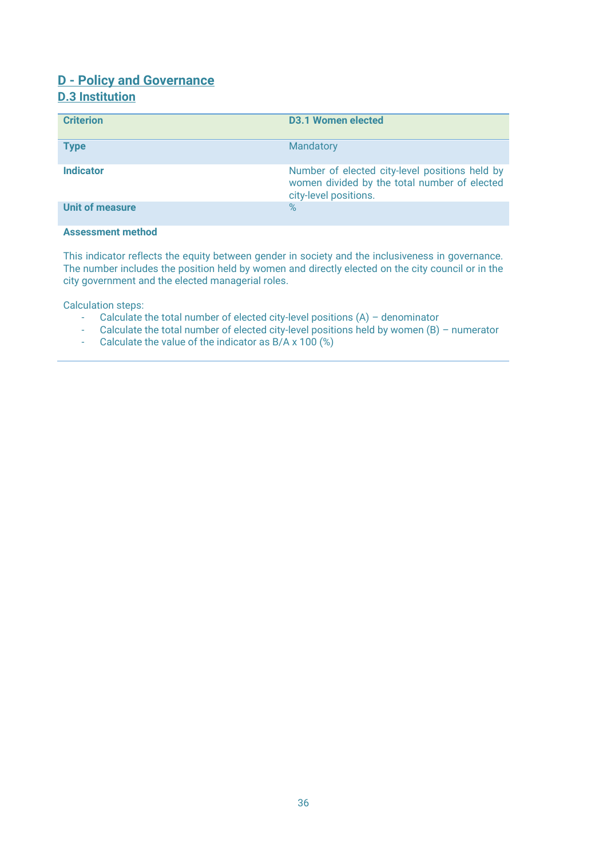# <span id="page-35-0"></span>**D - Policy and Governance D.3 Institution**

| <b>Criterion</b>         | <b>D3.1 Women elected</b>                                                                                               |
|--------------------------|-------------------------------------------------------------------------------------------------------------------------|
| <b>Type</b>              | Mandatory                                                                                                               |
| <b>Indicator</b>         | Number of elected city-level positions held by<br>women divided by the total number of elected<br>city-level positions. |
| <b>Unit of measure</b>   | $\%$                                                                                                                    |
| <b>Assessment method</b> |                                                                                                                         |

This indicator reflects the equity between gender in society and the inclusiveness in governance. The number includes the position held by women and directly elected on the city council or in the city government and the elected managerial roles.

- Calculate the total number of elected city-level positions (A) denominator
- Calculate the total number of elected city-level positions held by women  $(B)$  numerator
- Calculate the value of the indicator as B/A x 100 (%)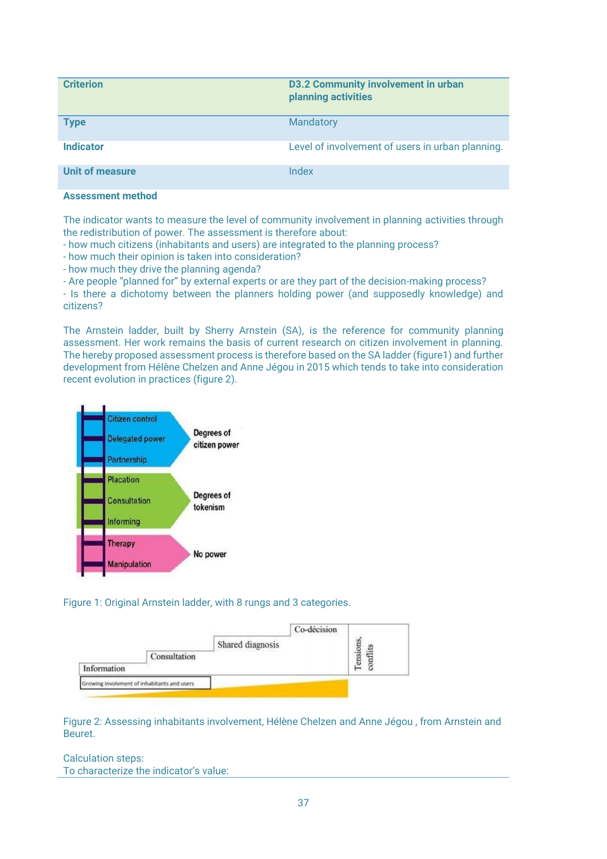| <b>Criterion</b>       | <b>D3.2 Community involvement in urban</b><br>planning activities |
|------------------------|-------------------------------------------------------------------|
| <b>Type</b>            | <b>Mandatory</b>                                                  |
| <b>Indicator</b>       | Level of involvement of users in urban planning.                  |
| <b>Unit of measure</b> | Index                                                             |

The indicator wants to measure the level of community involvement in planning activities through the redistribution of power. The assessment is therefore about:

- how much citizens (inhabitants and users) are integrated to the planning process?

- how much their opinion is taken into consideration?

- how much they drive the planning agenda?

- Are people "planned for" by external experts or are they part of the decision-making process?

- Is there a dichotomy between the planners holding power (and supposedly knowledge) and citizens?

The Arnstein ladder, built by Sherry Arnstein (SA), is the reference for community planning assessment. Her work remains the basis of current research on citizen involvement in planning. The hereby proposed assessment process is therefore based on the SA ladder (figure1) and further development from Hélène Chelzen and Anne Jégou in 2015 which tends to take into consideration recent evolution in practices (figure 2).



Figure 1: Original Arnstein ladder, with 8 rungs and 3 categories.

| Information | Consultation                                | Shared diagnosis | Co-décision | Tensions |
|-------------|---------------------------------------------|------------------|-------------|----------|
|             | Growing involvment of inhabitants and users |                  |             |          |

Figure 2: Assessing inhabitants involvement, Hélène Chelzen and Anne Jégou , from Arnstein and Beuret.

#### Calculation steps: To characterize the indicator's value: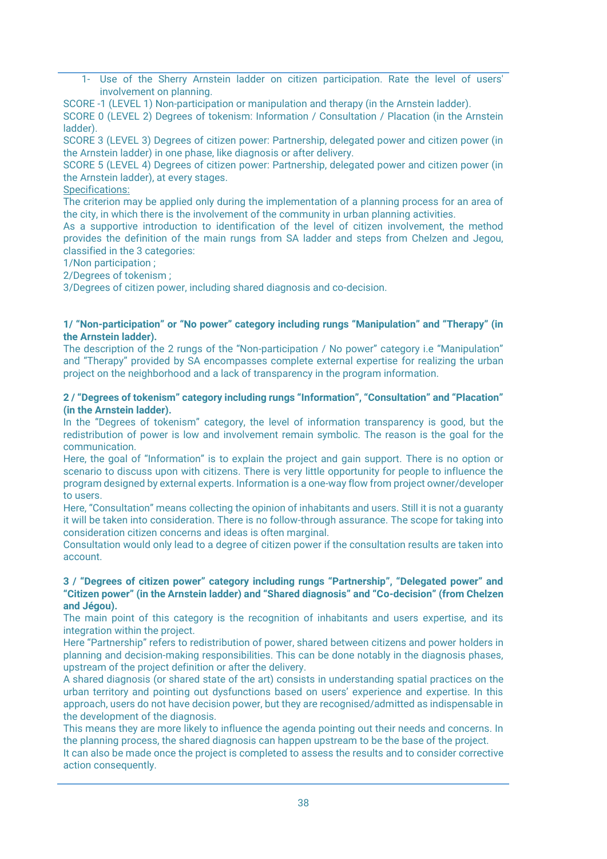1- Use of the Sherry Arnstein ladder on citizen participation. Rate the level of users' involvement on planning.

SCORE -1 (LEVEL 1) Non-participation or manipulation and therapy (in the Arnstein ladder).

SCORE 0 (LEVEL 2) Degrees of tokenism: Information / Consultation / Placation (in the Arnstein ladder).

SCORE 3 (LEVEL 3) Degrees of citizen power: Partnership, delegated power and citizen power (in the Arnstein ladder) in one phase, like diagnosis or after delivery.

SCORE 5 (LEVEL 4) Degrees of citizen power: Partnership, delegated power and citizen power (in the Arnstein ladder), at every stages.

Specifications:

The criterion may be applied only during the implementation of a planning process for an area of the city, in which there is the involvement of the community in urban planning activities.

As a supportive introduction to identification of the level of citizen involvement, the method provides the definition of the main rungs from SA ladder and steps from Chelzen and Jegou, classified in the 3 categories:

1/Non participation ;

2/Degrees of tokenism ;

3/Degrees of citizen power, including shared diagnosis and co-decision.

#### **1/ "Non-participation" or "No power" category including rungs "Manipulation" and "Therapy" (in the Arnstein ladder).**

The description of the 2 rungs of the "Non-participation / No power" category i.e "Manipulation" and "Therapy" provided by SA encompasses complete external expertise for realizing the urban project on the neighborhood and a lack of transparency in the program information.

#### **2 / "Degrees of tokenism" category including rungs "Information", "Consultation" and "Placation" (in the Arnstein ladder).**

In the "Degrees of tokenism" category, the level of information transparency is good, but the redistribution of power is low and involvement remain symbolic. The reason is the goal for the communication.

Here, the goal of "Information" is to explain the project and gain support. There is no option or scenario to discuss upon with citizens. There is very little opportunity for people to influence the program designed by external experts. Information is a one-way flow from project owner/developer to users.

Here, "Consultation" means collecting the opinion of inhabitants and users. Still it is not a guaranty it will be taken into consideration. There is no follow-through assurance. The scope for taking into consideration citizen concerns and ideas is often marginal.

Consultation would only lead to a degree of citizen power if the consultation results are taken into account.

#### **3 / "Degrees of citizen power" category including rungs "Partnership", "Delegated power" and "Citizen power" (in the Arnstein ladder) and "Shared diagnosis" and "Co-decision" (from Chelzen and Jégou).**

The main point of this category is the recognition of inhabitants and users expertise, and its integration within the project.

Here "Partnership" refers to redistribution of power, shared between citizens and power holders in planning and decision-making responsibilities. This can be done notably in the diagnosis phases, upstream of the project definition or after the delivery.

A shared diagnosis (or shared state of the art) consists in understanding spatial practices on the urban territory and pointing out dysfunctions based on users' experience and expertise. In this approach, users do not have decision power, but they are recognised/admitted as indispensable in the development of the diagnosis.

This means they are more likely to influence the agenda pointing out their needs and concerns. In the planning process, the shared diagnosis can happen upstream to be the base of the project.

It can also be made once the project is completed to assess the results and to consider corrective action consequently.